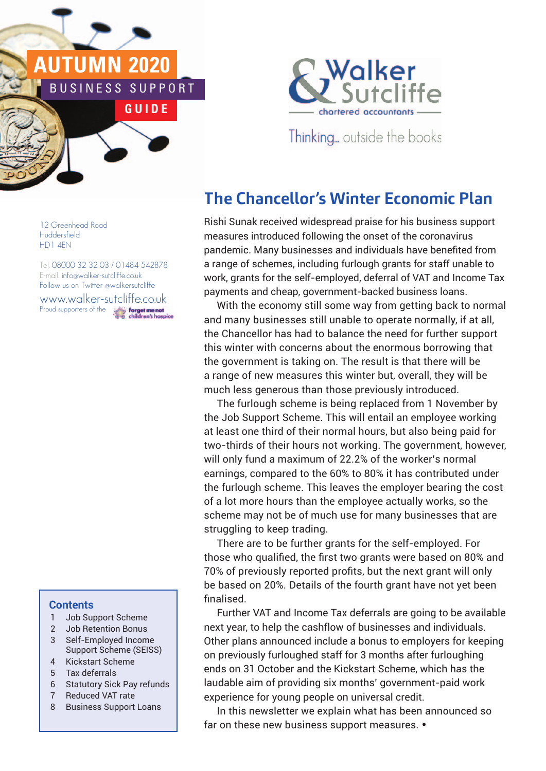# **2020** U S I N E S S S U P P O R T **G U I D E**



Thinking... outside the books

# **The Chancellor's Winter Economic Plan**

Rishi Sunak received widespread praise for his business support measures introduced following the onset of the coronavirus pandemic. Many businesses and individuals have benefited from a range of schemes, including furlough grants for staff unable to work, grants for the self-employed, deferral of VAT and Income Tax payments and cheap, government-backed business loans.

With the economy still some way from getting back to normal and many businesses still unable to operate normally, if at all, the Chancellor has had to balance the need for further support this winter with concerns about the enormous borrowing that the government is taking on. The result is that there will be a range of new measures this winter but, overall, they will be much less generous than those previously introduced.

> The furlough scheme is being replaced from 1 November by the Job Support Scheme. This will entail an employee working at least one third of their normal hours, but also being paid for two-thirds of their hours not working. The government, however, will only fund a maximum of 22.2% of the worker's normal earnings, compared to the 60% to 80% it has contributed under the furlough scheme. This leaves the employer bearing the cost of a lot more hours than the employee actually works, so the scheme may not be of much use for many businesses that are struggling to keep trading.

> There are to be further grants for the self-employed. For those who qualified, the first two grants were based on 80% and 70% of previously reported profits, but the next grant will only be based on 20%. Details of the fourth grant have not yet been finalised.

> Further VAT and Income Tax deferrals are going to be available next year, to help the cashflow of businesses and individuals. Other plans announced include a bonus to employers for keeping on previously furloughed staff for 3 months after furloughing ends on 31 October and the Kickstart Scheme, which has the laudable aim of providing six months' government-paid work experience for young people on universal credit.

In this newsletter we explain what has been announced so far on these new business support measures. •

12 Greenhead Road Huddersfield HD1 4EN

Tel. 08000 32 32 03 / 01484 542878 E-mail. info@walker-sutcliffe.co.uk Follow us on Twitter @walkersutcliffe www.walker-sutcliffe.co.uk Proud supporters of theforget me not

### **Contents**

- 1 Job Support Scheme
- 2 Job Retention Bonus
- 3 Self-Employed Income Support Scheme (SEISS)
- 4 Kickstart Scheme
- 5 Tax deferrals
- 6 Statutory Sick Pay refunds
- 7 Reduced VAT rate
- 8 Business Support Loans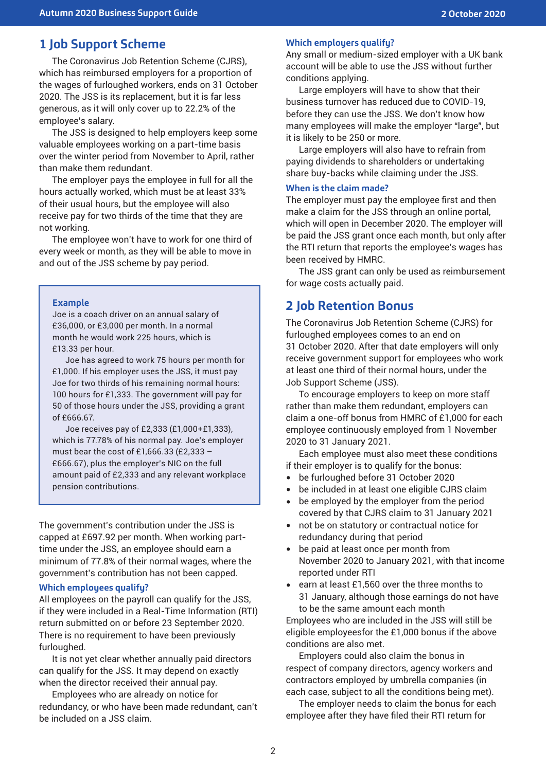# **1 Job Support Scheme**

The Coronavirus Job Retention Scheme (CJRS), which has reimbursed employers for a proportion of the wages of furloughed workers, ends on 31 October 2020. The JSS is its replacement, but it is far less generous, as it will only cover up to 22.2% of the employee's salary.

The JSS is designed to help employers keep some valuable employees working on a part-time basis over the winter period from November to April, rather than make them redundant.

The employer pays the employee in full for all the hours actually worked, which must be at least 33% of their usual hours, but the employee will also receive pay for two thirds of the time that they are not working.

The employee won't have to work for one third of every week or month, as they will be able to move in and out of the JSS scheme by pay period.

#### **Example**

Joe is a coach driver on an annual salary of £36,000, or £3,000 per month. In a normal month he would work 225 hours, which is £13.33 per hour.

Joe has agreed to work 75 hours per month for £1,000. If his employer uses the JSS, it must pay Joe for two thirds of his remaining normal hours: 100 hours for £1,333. The government will pay for 50 of those hours under the JSS, providing a grant of £666.67.

Joe receives pay of £2,333 (£1,000+£1,333), which is 77.78% of his normal pay. Joe's employer must bear the cost of £1,666.33 (£2,333 – £666.67), plus the employer's NIC on the full amount paid of £2,333 and any relevant workplace pension contributions.

The government's contribution under the JSS is capped at £697.92 per month. When working parttime under the JSS, an employee should earn a minimum of 77.8% of their normal wages, where the government's contribution has not been capped.

#### **Which employees qualify?**

All employees on the payroll can qualify for the JSS, if they were included in a Real-Time Information (RTI) return submitted on or before 23 September 2020. There is no requirement to have been previously furloughed.

It is not yet clear whether annually paid directors can qualify for the JSS. It may depend on exactly when the director received their annual pay.

Employees who are already on notice for redundancy, or who have been made redundant, can't be included on a JSS claim.

#### **Which employers qualify?**

Any small or medium-sized employer with a UK bank account will be able to use the JSS without further conditions applying.

Large employers will have to show that their business turnover has reduced due to COVID-19, before they can use the JSS. We don't know how many employees will make the employer "large", but it is likely to be 250 or more.

Large employers will also have to refrain from paying dividends to shareholders or undertaking share buy-backs while claiming under the JSS.

#### **When is the claim made?**

The employer must pay the employee first and then make a claim for the JSS through an online portal, which will open in December 2020. The employer will be paid the JSS grant once each month, but only after the RTI return that reports the employee's wages has been received by HMRC.

The JSS grant can only be used as reimbursement for wage costs actually paid.

### **2 Job Retention Bonus**

The Coronavirus Job Retention Scheme (CJRS) for furloughed employees comes to an end on 31 October 2020. After that date employers will only receive government support for employees who work at least one third of their normal hours, under the Job Support Scheme (JSS).

To encourage employers to keep on more staff rather than make them redundant, employers can claim a one-off bonus from HMRC of £1,000 for each employee continuously employed from 1 November 2020 to 31 January 2021.

Each employee must also meet these conditions if their employer is to qualify for the bonus:

- be furloughed before 31 October 2020<br>• be included in at least one eligible CJR
- be included in at least one eligible CJRS claim
- be employed by the employer from the period covered by that CJRS claim to 31 January 2021
- not be on statutory or contractual notice for redundancy during that period
- be paid at least once per month from November 2020 to January 2021, with that income reported under RTI
- earn at least £1,560 over the three months to 31 January, although those earnings do not have to be the same amount each month

Employees who are included in the JSS will still be eligible employeesfor the £1,000 bonus if the above conditions are also met.

Employers could also claim the bonus in respect of company directors, agency workers and contractors employed by umbrella companies (in each case, subject to all the conditions being met).

The employer needs to claim the bonus for each employee after they have filed their RTI return for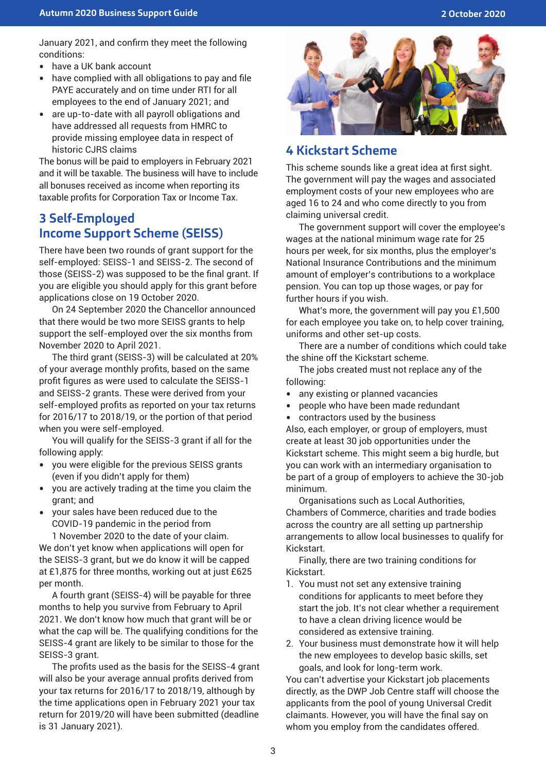January 2021, and confirm they meet the following conditions:

- have a UK bank account<br>• have complied with all of
- have complied with all obligations to pay and file PAYE accurately and on time under RTI for all employees to the end of January 2021; and
- are up-to-date with all payroll obligations and have addressed all requests from HMRC to provide missing employee data in respect of historic CJRS claims

The bonus will be paid to employers in February 2021 and it will be taxable. The business will have to include all bonuses received as income when reporting its taxable profits for Corporation Tax or Income Tax.

## **3 Self-Employed Income Support Scheme (SEISS)**

There have been two rounds of grant support for the self-employed: SEISS-1 and SEISS-2. The second of those (SEISS-2) was supposed to be the final grant. If you are eligible you should apply for this grant before applications close on 19 October 2020.

On 24 September 2020 the Chancellor announced that there would be two more SEISS grants to help support the self-employed over the six months from November 2020 to April 2021.

The third grant (SEISS-3) will be calculated at 20% of your average monthly profits, based on the same profit figures as were used to calculate the SEISS-1 and SEISS-2 grants. These were derived from your self-employed profits as reported on your tax returns for 2016/17 to 2018/19, or the portion of that period when you were self-employed.

You will qualify for the SEISS-3 grant if all for the following apply:

- you were eligible for the previous SEISS grants (even if you didn't apply for them)
- you are actively trading at the time you claim the grant; and
- your sales have been reduced due to the COVID-19 pandemic in the period from

1 November 2020 to the date of your claim. We don't yet know when applications will open for the SEISS-3 grant, but we do know it will be capped at £1,875 for three months, working out at just £625 per month.

A fourth grant (SEISS-4) will be payable for three months to help you survive from February to April 2021. We don't know how much that grant will be or what the cap will be. The qualifying conditions for the SEISS-4 grant are likely to be similar to those for the SEISS-3 grant.

The profits used as the basis for the SEISS-4 grant will also be your average annual profits derived from your tax returns for 2016/17 to 2018/19, although by the time applications open in February 2021 your tax return for 2019/20 will have been submitted (deadline is 31 January 2021).



## **4 Kickstart Scheme**

This scheme sounds like a great idea at first sight. The government will pay the wages and associated employment costs of your new employees who are aged 16 to 24 and who come directly to you from claiming universal credit.

The government support will cover the employee's wages at the national minimum wage rate for 25 hours per week, for six months, plus the employer's National Insurance Contributions and the minimum amount of employer's contributions to a workplace pension. You can top up those wages, or pay for further hours if you wish.

What's more, the government will pay you £1,500 for each employee you take on, to help cover training, uniforms and other set-up costs.

There are a number of conditions which could take the shine off the Kickstart scheme.

The jobs created must not replace any of the following:

- any existing or planned vacancies
- people who have been made redundant<br>• contractors used by the business
- contractors used by the business

Also, each employer, or group of employers, must create at least 30 job opportunities under the Kickstart scheme. This might seem a big hurdle, but you can work with an intermediary organisation to be part of a group of employers to achieve the 30-job minimum.

Organisations such as Local Authorities, Chambers of Commerce, charities and trade bodies across the country are all setting up partnership arrangements to allow local businesses to qualify for Kickstart.

Finally, there are two training conditions for Kickstart.

- 1. You must not set any extensive training conditions for applicants to meet before they start the job. It's not clear whether a requirement to have a clean driving licence would be considered as extensive training.
- 2. Your business must demonstrate how it will help the new employees to develop basic skills, set goals, and look for long-term work.

You can't advertise your Kickstart job placements directly, as the DWP Job Centre staff will choose the applicants from the pool of young Universal Credit claimants. However, you will have the final say on whom you employ from the candidates offered.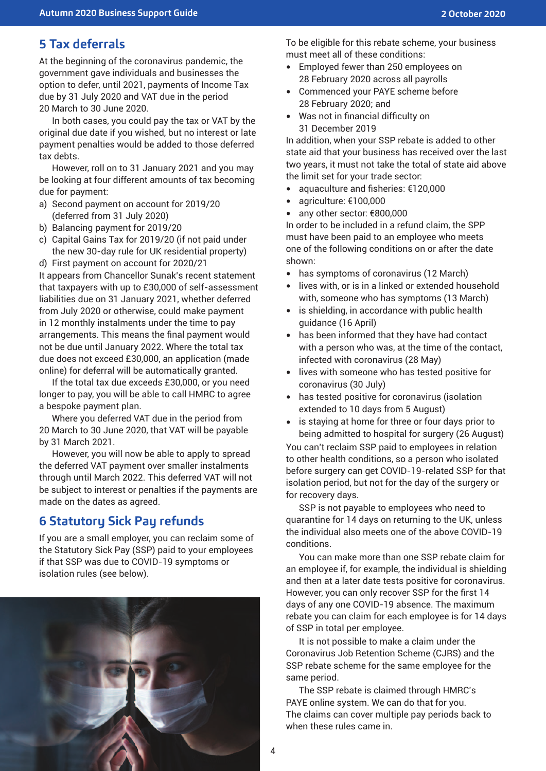# **5 Tax deferrals**

At the beginning of the coronavirus pandemic, the government gave individuals and businesses the option to defer, until 2021, payments of Income Tax due by 31 July 2020 and VAT due in the period 20 March to 30 June 2020.

In both cases, you could pay the tax or VAT by the original due date if you wished, but no interest or late payment penalties would be added to those deferred tax debts.

However, roll on to 31 January 2021 and you may be looking at four different amounts of tax becoming due for payment:

- a) Second payment on account for 2019/20 (deferred from 31 July 2020)
- b) Balancing payment for 2019/20
- c) Capital Gains Tax for 2019/20 (if not paid under the new 30-day rule for UK residential property)
- d) First payment on account for 2020/21

It appears from Chancellor Sunak's recent statement that taxpayers with up to £30,000 of self-assessment liabilities due on 31 January 2021, whether deferred from July 2020 or otherwise, could make payment in 12 monthly instalments under the time to pay arrangements. This means the final payment would not be due until January 2022. Where the total tax due does not exceed £30,000, an application (made online) for deferral will be automatically granted.

If the total tax due exceeds £30,000, or you need longer to pay, you will be able to call HMRC to agree a bespoke payment plan.

Where you deferred VAT due in the period from 20 March to 30 June 2020, that VAT will be payable by 31 March 2021.

However, you will now be able to apply to spread the deferred VAT payment over smaller instalments through until March 2022. This deferred VAT will not be subject to interest or penalties if the payments are made on the dates as agreed.

# **6 Statutory Sick Pay refunds**

If you are a small employer, you can reclaim some of the Statutory Sick Pay (SSP) paid to your employees if that SSP was due to COVID-19 symptoms or isolation rules (see below).



To be eligible for this rebate scheme, your business must meet all of these conditions:

- Employed fewer than 250 employees on 28 February 2020 across all payrolls
- Commenced your PAYE scheme before 28 February 2020; and
- Was not in financial difficulty on 31 December 2019

In addition, when your SSP rebate is added to other state aid that your business has received over the last two years, it must not take the total of state aid above the limit set for your trade sector:

- aquaculture and fisheries: €120,000<br>• agriculture: €100,000
- agriculture: €100,000<br>• any other sector: €80
- any other sector: €800,000

In order to be included in a refund claim, the SPP must have been paid to an employee who meets one of the following conditions on or after the date shown:

- has symptoms of coronavirus (12 March)
- lives with, or is in a linked or extended household with, someone who has symptoms (13 March)
- is shielding, in accordance with public health guidance (16 April)
- has been informed that they have had contact with a person who was, at the time of the contact, infected with coronavirus (28 May)
- lives with someone who has tested positive for coronavirus (30 July)
- has tested positive for coronavirus (isolation extended to 10 days from 5 August)
- is staying at home for three or four days prior to being admitted to hospital for surgery (26 August)

You can't reclaim SSP paid to employees in relation to other health conditions, so a person who isolated before surgery can get COVID-19-related SSP for that isolation period, but not for the day of the surgery or for recovery days.

SSP is not payable to employees who need to quarantine for 14 days on returning to the UK, unless the individual also meets one of the above COVID-19 conditions.

You can make more than one SSP rebate claim for an employee if, for example, the individual is shielding and then at a later date tests positive for coronavirus. However, you can only recover SSP for the first 14 days of any one COVID-19 absence. The maximum rebate you can claim for each employee is for 14 days of SSP in total per employee.

It is not possible to make a claim under the Coronavirus Job Retention Scheme (CJRS) and the SSP rebate scheme for the same employee for the same period.

The SSP rebate is claimed through HMRC's PAYE online system. We can do that for you. The claims can cover multiple pay periods back to when these rules came in.

4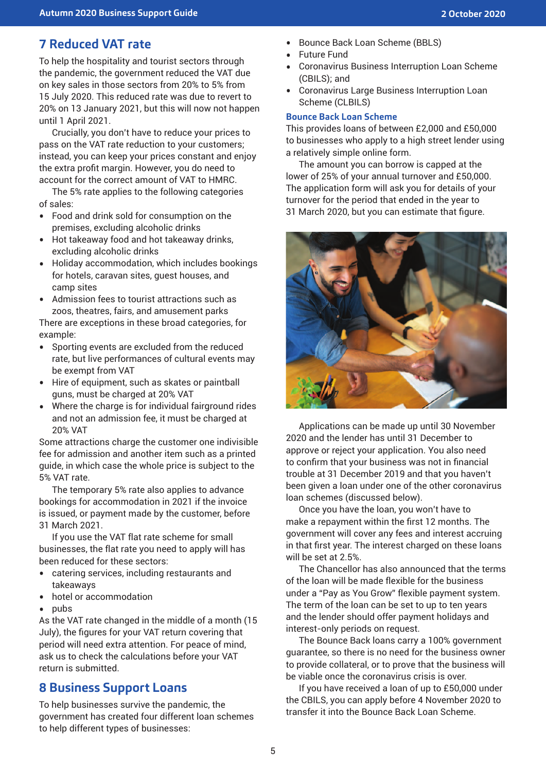# **7 Reduced VAT rate**

To help the hospitality and tourist sectors through the pandemic, the government reduced the VAT due on key sales in those sectors from 20% to 5% from 15 July 2020. This reduced rate was due to revert to 20% on 13 January 2021, but this will now not happen until 1 April 2021.

Crucially, you don't have to reduce your prices to pass on the VAT rate reduction to your customers; instead, you can keep your prices constant and enjoy the extra profit margin. However, you do need to account for the correct amount of VAT to HMRC.

The 5% rate applies to the following categories of sales:

- Food and drink sold for consumption on the premises, excluding alcoholic drinks
- Hot takeaway food and hot takeaway drinks, excluding alcoholic drinks
- Holiday accommodation, which includes bookings for hotels, caravan sites, guest houses, and camp sites
- Admission fees to tourist attractions such as zoos, theatres, fairs, and amusement parks

There are exceptions in these broad categories, for example:

- Sporting events are excluded from the reduced rate, but live performances of cultural events may be exempt from VAT
- Hire of equipment, such as skates or paintball guns, must be charged at 20% VAT
- Where the charge is for individual fairground rides and not an admission fee, it must be charged at 20% VAT

Some attractions charge the customer one indivisible fee for admission and another item such as a printed guide, in which case the whole price is subject to the 5% VAT rate.

The temporary 5% rate also applies to advance bookings for accommodation in 2021 if the invoice is issued, or payment made by the customer, before 31 March 2021.

If you use the VAT flat rate scheme for small businesses, the flat rate you need to apply will has been reduced for these sectors:

- catering services, including restaurants and takeaways
- hotel or accommodation
- pubs

As the VAT rate changed in the middle of a month (15 July), the figures for your VAT return covering that period will need extra attention. For peace of mind, ask us to check the calculations before your VAT return is submitted.

### **8 Business Support Loans**

To help businesses survive the pandemic, the government has created four different loan schemes to help different types of businesses:

- Bounce Back Loan Scheme (BBLS)
- Future Fund
- Coronavirus Business Interruption Loan Scheme (CBILS); and
- Coronavirus Large Business Interruption Loan Scheme (CLBILS)

#### **Bounce Back Loan Scheme**

This provides loans of between £2,000 and £50,000 to businesses who apply to a high street lender using a relatively simple online form.

The amount you can borrow is capped at the lower of 25% of your annual turnover and £50,000. The application form will ask you for details of your turnover for the period that ended in the year to 31 March 2020, but you can estimate that figure.



Applications can be made up until 30 November 2020 and the lender has until 31 December to approve or reject your application. You also need to confirm that your business was not in financial trouble at 31 December 2019 and that you haven't been given a loan under one of the other coronavirus loan schemes (discussed below).

Once you have the loan, you won't have to make a repayment within the first 12 months. The government will cover any fees and interest accruing in that first year. The interest charged on these loans will be set at 2.5%.

The Chancellor has also announced that the terms of the loan will be made flexible for the business under a "Pay as You Grow" flexible payment system. The term of the loan can be set to up to ten years and the lender should offer payment holidays and interest-only periods on request.

The Bounce Back loans carry a 100% government guarantee, so there is no need for the business owner to provide collateral, or to prove that the business will be viable once the coronavirus crisis is over.

If you have received a loan of up to £50,000 under the CBILS, you can apply before 4 November 2020 to transfer it into the Bounce Back Loan Scheme.